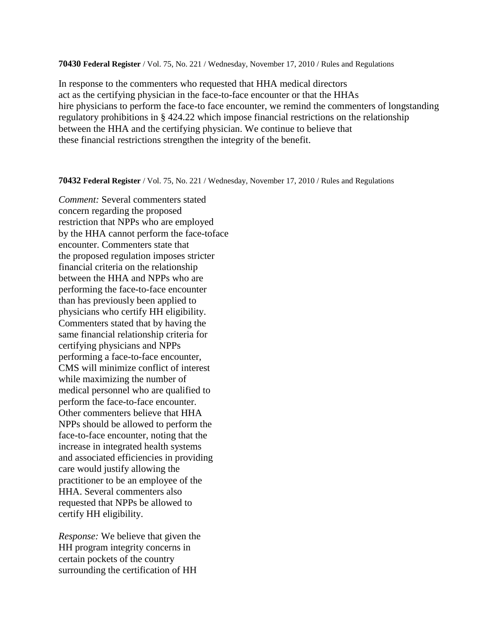**70430 Federal Register** / Vol. 75, No. 221 / Wednesday, November 17, 2010 / Rules and Regulations

In response to the commenters who requested that HHA medical directors act as the certifying physician in the face-to-face encounter or that the HHAs hire physicians to perform the face-to face encounter, we remind the commenters of longstanding regulatory prohibitions in § 424.22 which impose financial restrictions on the relationship between the HHA and the certifying physician. We continue to believe that these financial restrictions strengthen the integrity of the benefit.

**70432 Federal Register** / Vol. 75, No. 221 / Wednesday, November 17, 2010 / Rules and Regulations

*Comment:* Several commenters stated concern regarding the proposed restriction that NPPs who are employed by the HHA cannot perform the face-toface encounter. Commenters state that the proposed regulation imposes stricter financial criteria on the relationship between the HHA and NPPs who are performing the face-to-face encounter than has previously been applied to physicians who certify HH eligibility. Commenters stated that by having the same financial relationship criteria for certifying physicians and NPPs performing a face-to-face encounter, CMS will minimize conflict of interest while maximizing the number of medical personnel who are qualified to perform the face-to-face encounter. Other commenters believe that HHA NPPs should be allowed to perform the face-to-face encounter, noting that the increase in integrated health systems and associated efficiencies in providing care would justify allowing the practitioner to be an employee of the HHA. Several commenters also requested that NPPs be allowed to certify HH eligibility.

*Response:* We believe that given the HH program integrity concerns in certain pockets of the country surrounding the certification of HH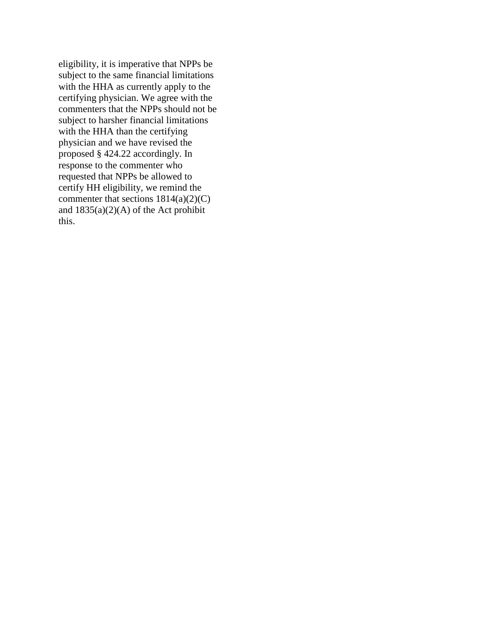eligibility, it is imperative that NPPs be subject to the same financial limitations with the HHA as currently apply to the certifying physician. We agree with the commenters that the NPPs should not be subject to harsher financial limitations with the HHA than the certifying physician and we have revised the proposed § 424.22 accordingly. In response to the commenter who requested that NPPs be allowed to certify HH eligibility, we remind the commenter that sections  $1814(a)(2)(C)$ and  $1835(a)(2)(A)$  of the Act prohibit this.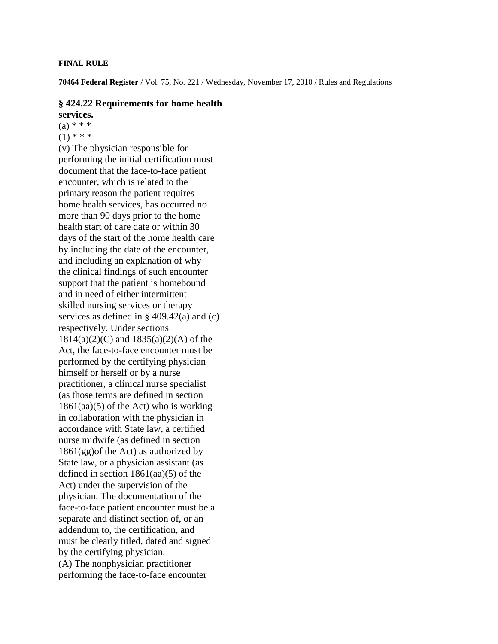## **FINAL RULE**

**70464 Federal Register** / Vol. 75, No. 221 / Wednesday, November 17, 2010 / Rules and Regulations

## **§ 424.22 Requirements for home health services.**

 $(a) * * *$ 

 $(1)$  \* \* \*

(v) The physician responsible for performing the initial certification must document that the face-to-face patient encounter, which is related to the primary reason the patient requires home health services, has occurred no more than 90 days prior to the home health start of care date or within 30 days of the start of the home health care by including the date of the encounter, and including an explanation of why the clinical findings of such encounter support that the patient is homebound and in need of either intermittent skilled nursing services or therapy services as defined in  $\S$  409.42(a) and (c) respectively. Under sections 1814(a)(2)(C) and 1835(a)(2)(A) of the Act, the face-to-face encounter must be performed by the certifying physician himself or herself or by a nurse practitioner, a clinical nurse specialist (as those terms are defined in section  $1861(aa)(5)$  of the Act) who is working in collaboration with the physician in accordance with State law, a certified nurse midwife (as defined in section 1861(gg)of the Act) as authorized by State law, or a physician assistant (as defined in section  $1861(aa)(5)$  of the Act) under the supervision of the physician. The documentation of the face-to-face patient encounter must be a separate and distinct section of, or an addendum to, the certification, and must be clearly titled, dated and signed by the certifying physician. (A) The nonphysician practitioner performing the face-to-face encounter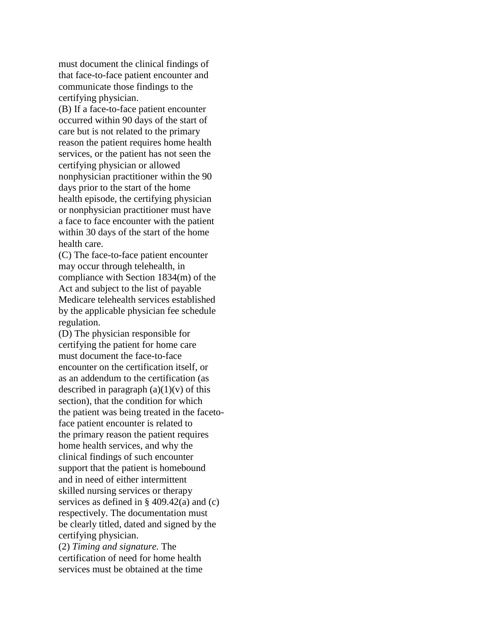must document the clinical findings of that face-to-face patient encounter and communicate those findings to the certifying physician.

(B) If a face-to-face patient encounter occurred within 90 days of the start of care but is not related to the primary reason the patient requires home health services, or the patient has not seen the certifying physician or allowed nonphysician practitioner within the 90 days prior to the start of the home health episode, the certifying physician or nonphysician practitioner must have a face to face encounter with the patient within 30 days of the start of the home health care.

(C) The face-to-face patient encounter may occur through telehealth, in compliance with Section 1834(m) of the Act and subject to the list of payable Medicare telehealth services established by the applicable physician fee schedule regulation.

(D) The physician responsible for certifying the patient for home care must document the face-to-face encounter on the certification itself, or as an addendum to the certification (as described in paragraph  $(a)(1)(v)$  of this section), that the condition for which the patient was being treated in the facetoface patient encounter is related to the primary reason the patient requires home health services, and why the clinical findings of such encounter support that the patient is homebound and in need of either intermittent skilled nursing services or therapy services as defined in  $\S$  409.42(a) and (c) respectively. The documentation must be clearly titled, dated and signed by the certifying physician. (2) *Timing and signature.* The

certification of need for home health services must be obtained at the time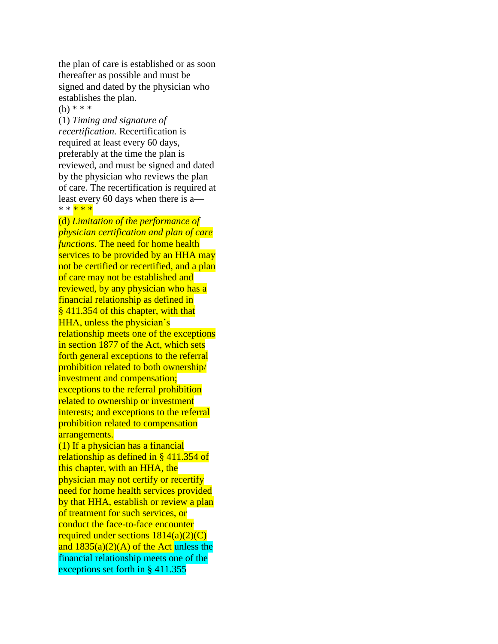the plan of care is established or as soon thereafter as possible and must be signed and dated by the physician who establishes the plan. (b) \* \* \*

(1) *Timing and signature of recertification.* Recertification is required at least every 60 days, preferably at the time the plan is reviewed, and must be signed and dated by the physician who reviews the plan of care. The recertification is required at least every 60 days when there is a— \* \* <mark>\* \* \*</mark>

(d) *Limitation of the performance of physician certification and plan of care functions*. The need for home health services to be provided by an HHA may not be certified or recertified, and a plan of care may not be established and reviewed, by any physician who has a financial relationship as defined in § 411.354 of this chapter, with that HHA, unless the physician's relationship meets one of the exceptions in section 1877 of the Act, which sets forth general exceptions to the referral prohibition related to both ownership/ investment and compensation; exceptions to the referral prohibition related to ownership or investment interests; and exceptions to the referral prohibition related to compensation arrangements.

(1) If a physician has a financial relationship as defined in § 411.354 of this chapter, with an HHA, the physician may not certify or recertify need for home health services provided by that HHA, establish or review a plan of treatment for such services, or conduct the face-to-face encounter required under sections  $1814(a)(2)(C)$ and  $1835(a)(2)(A)$  of the Act unless the financial relationship meets one of the exceptions set forth in § 411.355